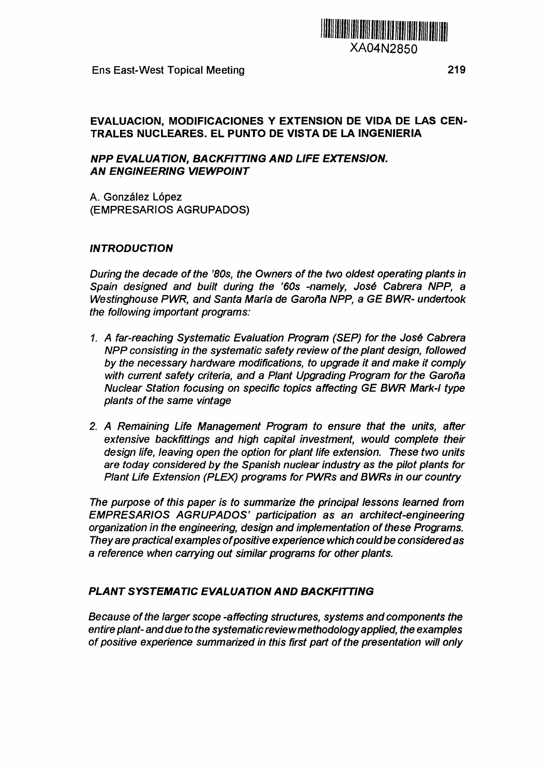XA04N2850

Ens East-West Topical Meeting 219

## **EVALUACIÓN, MODIFICACIONES Y EXTENSION DE VIDA DE LAS CEN-TRALES NUCLEARES. EL PUNTO DE VISTA DE LA INGENIERÍA**

### **NPP EVALÚA TION, BA CKFITTING AND LIFE EXTENSION. AN ENGINEERING VIEWPOINT**

A. González López (EMPRESARIOS AGRUPADOS)

#### **INTRODUCTION**

During the decade of the '80s, the Owners of the two oldest operating plants in Spain designed and built during the '60s -namely, José Cabrera NPP, a Westinghouse PWR, and Santa María de Garoña NPP, a GE BWR- undertook the following important programs:

- 1. A far-reaching Systematic Evaluation Program (SEP) for the José Cabrera NPP consisting in the systematic safety review of the plant design, followed by the necessary hardware modifications, to upgrade it and make it comply with current safety criteria, and a Plant Upgrading Program for the Garoña Nuclear Station focusing on specific topics affecting GE BWR Mark-I type plants of the same vintage
- 2. A Remaining Life Management Program to ensure that the units, after extensive backfittings and high capital investment, would complete their design life, leaving open the option for plant life extension. These two units are today considered by the Spanish nuclear industry as the pilot plants for Plant Life Extension (PLEX) programs for PWRs and BWRs in our country

The purpose of this paper is to summarize the principal lessons learned from EMPRESARIOS AGRUPADOS' participation as an architect-engineering organization in the engineering, design and implementation of these Programs. They are practical examples of positive experience which could be considered as a reference when carrying out similar programs for other plants.

#### **PLANT SYSTEMATIC EVALUATION AND BACKFITTING**

Because of the larger scope -affecting structures, systems and components the entire plant- and due to the systematic review methodology applied, the examples of positive experience summarized in this first part of the presentation will only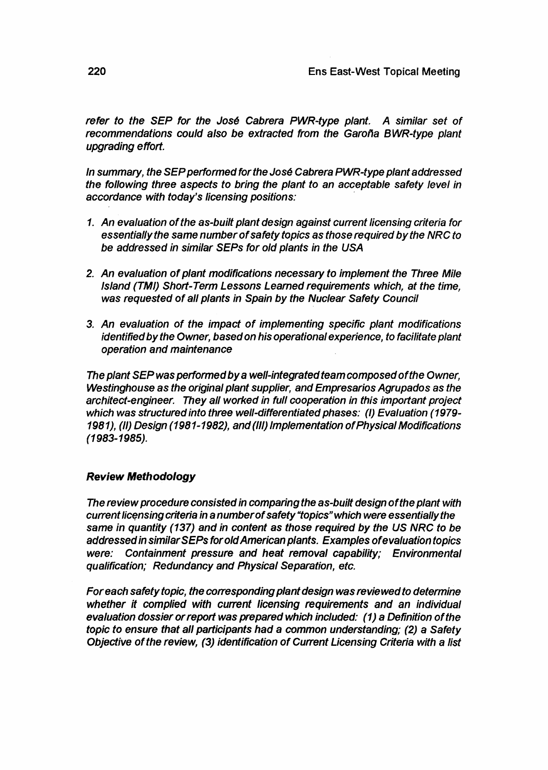refer to the SEP for the José Cabrera PWR-type plant. A similar set of recommendations could also be extracted from the Garoña BWR-type plant upgrading effort.

In summary, the SEP performed for the José Cabrera PWR-type plant addressed the following three aspects to bring the plant to an acceptable safety level in accordance with today's licensing positions:

- 1. An evaluation of the as-built plant design against current licensing criteria for essentially the same number of safety topics as those required by the NRC to be addressed in similar SEPs for old plants in the USA
- 2. An evaluation of plant modifications necessary to implement the Three Mile Island (TMI) Short-Term Lessons Learned requirements which, at the time, was requested of all plants in Spain by the Nuclear Safety Council
- 3. An evaluation of the impact of implementing specific plant modifications identified by the Owner, based on his operational experience, to facilitate plant operation and maintenance

The plant SEP was performed by a well-integrated team composed of the Owner, Westinghouse as the original plant supplier, and Empresarios Agrupados as the architect-engineer. They all worked in full cooperation in this important project which was structured into three well-differentiated phases: (I) Evaluation (1979- 1981), (II) Design (1981-1982), and (III) Implementation of Physical Modifications (1983-1985).

# **Review Methodology**

The review procedure consisted in comparing the as-built design of the plant with current licensing criteria in a number of safety "topics" which were essentially the same in quantity (137) and in content as those required by the US NRC to be addressed in similarSEPs for old American plants. Examples of evaluation topics were: Containment pressure and heat removal capability; Environmental qualification; Redundancy and Physical Separation, etc.

For each safety topic, the corresponding plant design was reviewed to determine whether it complied with current licensing requirements and an individual evaluation dossier or report was prepared which included: (1) a Definition of the topic to ensure that all participants had a common understanding; (2) a Safety Objective of the review, (3) identification of Current Licensing Criteria with a list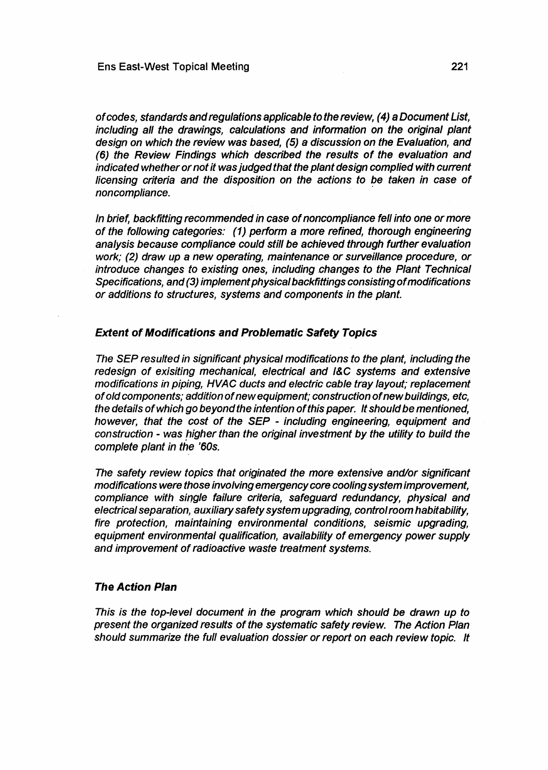of codes, standards and regulations applicable to the review, (4) a Document List, including all the drawings, calculations and information on the original plant design on which the review was based, (5) a discussion on the Evaluation, and (6) the Review Findings which described the results of the evaluation and indicated whether or not it was judged that the plant design complied with current licensing criteria and the disposition on the actions to be taken in case of noncompliance.

In brief, back fitting recommended in case of noncompliance fell into one or more of the following categories: (1) perform a more refined, thorough engineering analysis because compliance could still be achieved through further evaluation work; (2) draw up a new operating, maintenance or surveillance procedure, or introduce changes to existing ones, including changes to the Plant Technical Specifications, and (3) implement physical backfittings consisting of modifications or additions to structures, systems and components in the plant.

#### **Extent of Modifications and Problematic Safety Topics**

The SEP resulted in significant physical modifications to the plant, including the redesign of exisiting mechanical, electrical and I&C systems and extensive modifications in piping, HVAC ducts and electric cable tray layout; replacement of old components; addition of new equipment; construction of new buildings, etc, the details of which go beyond the intention of this paper. It should be mentioned, however, that the cost of the SEP - including engineering, equipment and construction - was higher than the original investment by the utility to build the complete plant in the '60s.

The safety review topics that originated the more extensive and/or significant modifications were those involving emergency core cooling system improvement, compliance with single failure criteria, safeguard redundancy, physical and electrical separation, auxiliary safety system upgrading, control room habitability, fire protection, maintaining environmental conditions, seismic upgrading, equipment environmental qualification, availability of emergency power supply and improvement of radioactive waste treatment systems.

#### **The Action Plan**

This is the top-level document in the program which should be drawn up to present the organized results of the systematic safety review. The Action Plan should summarize the full evaluation dossier or report on each review topic. It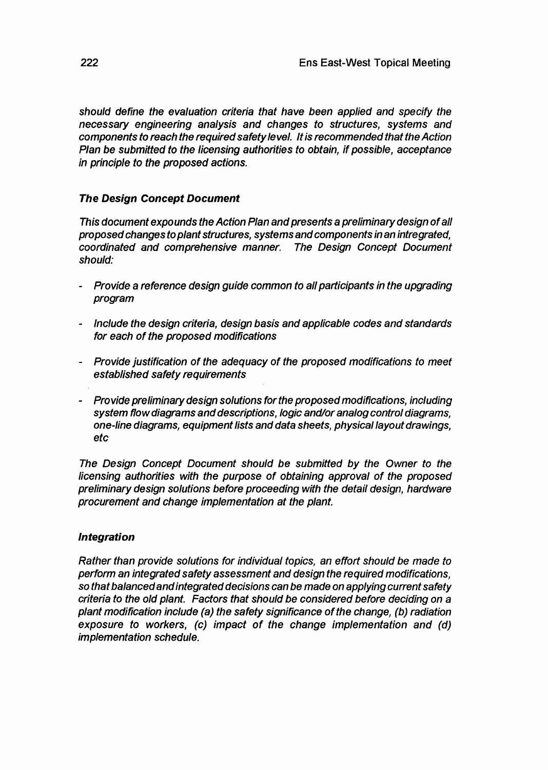should define the evaluation criteria that have been applied and specify the necessary engineering analysis and changes to structures, systems and components to reach the required safety level. It is recommended that the Action Plan be submitted to the licensing authorities to obtain, if possible, acceptance in principle to the proposed actions.

# **The Design Concept Document**

This document expounds the Action Plan and presents a preliminary design of all proposed changes to plant structures, systems and components in an integrated, coordinated and comprehensive manner. The Design Concept Document should:

- Provide a reference design guide common to all participants in the upgrading program
- Include the design criteria, design basis and applicable codes and standards for each of the proposed modifications
- Provide justification of the adequacy of the proposed modifications to meet established safety requirements
- Provide preliminary design solutions for the proposed modifications, including system flow diagrams and descriptions, logic and/or analog control diagrams, one-line diagrams, equipment lists and data sheets, physical layout drawings, etc

The Design Concept Document should be submitted by the Owner to the licensing authorities with the purpose of obtaining approval of the proposed preliminary design solutions before proceeding with the detail design, hardware procurement and change implementation at the plant

# Integration

Rather than provide solutions for individual topics, an effort should be made to perform an integrated safety assessment and design the required modifications, so that balanced and integrated decisions can be made on applying current safety criteria to the old plant. Factors that should be considered before deciding on a plant modification include (a) the safety significance of the change, (b) radiation exposure to workers, (c) impact of the change implementation and (d) implementation schedule.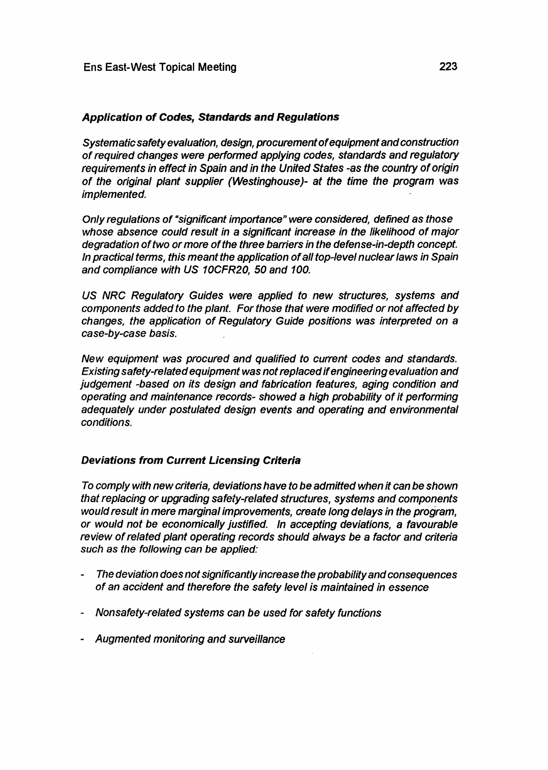## **Application of Codes, Standards and Regulations**

Systematic safety evaluation, design, procurement of equipment and construction of required changes were performed applying codes, standards and regulatory requirements in effect in Spain and in the United States -as the country of origin of the original plant supplier (Westinghouse)- at the time the program was implemented.

Only regulations of "significant importance" were considered, defined as those whose absence could result in a significant increase in the likelihood of major degradation of two or more of the three barriers in the defense-in-depth concept. In practical terms, this meant the application of all top-level nuclear laws in Spain and compliance with US 10CFR20, 50 and 100.

US NRC Regulatory Guides were applied to new structures, systems and components added to the plant. For those that were modified or not affected by changes, the application of Regulatory Guide positions was interpreted on a case-by-case basis.

New equipment was procured and qualified to current codes and standards. Existing safety-related equipment was not replaced if engineering evaluation and judgement -based on its design and fabrication features, aging condition and operating and maintenance records- showed a high probability of it performing adequately under postulated design events and operating and environmental conditions.

# **Deviations from Current Licensing Criteria**

To comply with new criteria, deviations have to be admitted when it can be shown that replacing or upgrading safety-related structures, systems and components would result in mere marginal improvements, create long delays in the program, or would not be economically justified. In accepting deviations, a favourable review of related plant operating records should always be a factor and criteria such as the following can be applied:

- The deviation does not significantly increase the probability and consequences of an accident and therefore the safety level is maintained in essence
- Nonsafety-related systems can be used for safety functions
- Augmented monitoring and surveillance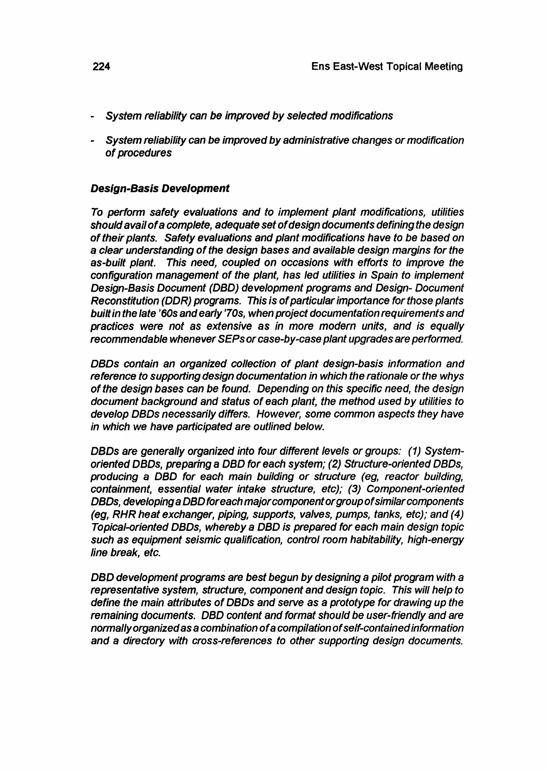- System reliability can be improved by selected modifications
- System reliability can be improved by administrative changes or modification of procedures

#### **Design-Basis Development**

To perform safety evaluations and to implement plant modifications, utilities should avail of a complete, adequate set of design documents defining the design of their plants. Safety evaluations and plant modifications have to be based on a clear understanding of the design bases and available design margins for the as-built plant. This need, coupled on occasions with efforts to improve the configuration management of the plant, has led utilities in Spain to implement Design-Basis Document (DBD) development programs and Design- Document Reconstitution (DDR) programs. This is of particular importance for those plants built in the late '60s and early '70s, when project documentation requirements and practices were not as extensive as in more modern units, and is equally recommendable whenever SEPs or case-by-case plant upgrades are performed.

DBDs contain an organized collection of plant design-basis information and reference to supporting design documentation in which the rationale or the whys of the design bases can be found. Depending on this specific need, the design document background and status of each plant, the method used by utilities to develop DBDs necessarily differs. However, some common aspects they have in which we have participated are outlined below.

DBDs are generally organized into four different levels or groups: (1) Systemoriented DBDs, preparing a DBD for each system; (2) Structure-oriented DBDs, producing a DBD for each main building or structure (eg, reactor building, containment, essential water intake structure, etc); (3) Component-oriented DBDs, developing a DBD foreach major component or group of similar components (eg, RHR heat exchanger, piping, supports, valves, pumps, tanks, etc); and (4) Topical-oriented DBDs, whereby a DBD is prepared for each main design topic such as equipment seismic qualification, control room habitability, high-energy line break, etc.

DBD development programs are best begun by designing a pilot program with a representative system, structure, component and design topic. This will help to define the main attributes of DBDs and serve as a prototype for drawing up the remaining documents. DBD content and format should be user-friendly and are normally organized as a combination of a compilation of self-contained information and a directory with cross-references to other supporting design documents.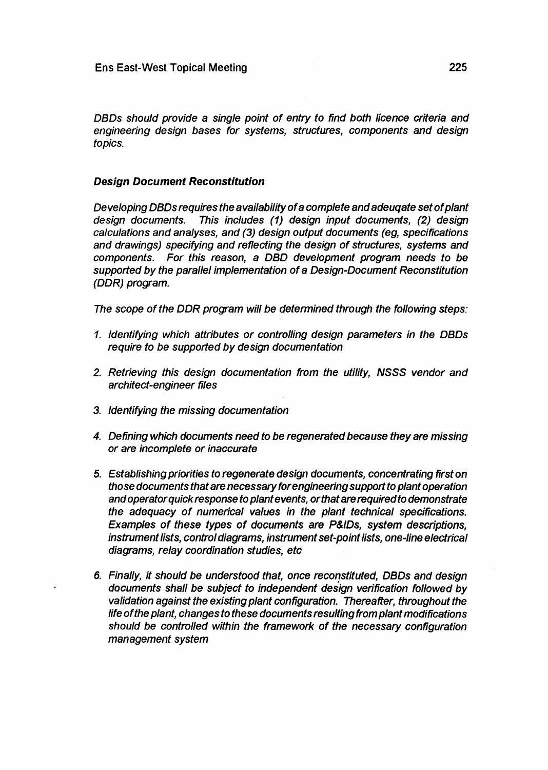DBDs should provide a single point of entry to find both licence criteria and engineering design bases for systems, structures, components and design topics.

## **Design Document Reconstitution**

De veloping DBDs requires the availability of a complete and adeuqate set of plant design documents. This includes (1) design input documents, (2) design calculations and analyses, and (3) design output documents (eg, specifications and drawings) specifying and reflecting the design of structures, systems and components. For this reason, a DBD development program needs to be supported by the parallel implementation of a Design-Document Reconstitution (DDR) program.

The scope of the DDR program will be determined through the following steps:

- 1. Identifying which attributes or controlling design parameters in the DBDs require to be supported by design documentation
- 2. Retrieving this design documentation from the utility, NSSS vendor and architect-engineer files
- 3. Identifying the missing documentation
- 4. Defining which documents need to be regenerated because they are missing or are incomplete or inaccurate
- 5. Establishing priorities to regenerate design documents, concentrating first on those documents that are necessary for engineering support to plant operation and operator quick response to plant events, orthat are required to demonstrate the adequacy of numerical values in the plant technical specifications. Examples of these types of documents are P&IDs, system descriptions, instrument lists, control diagrams, instrument set-point lists, one-line electrical diagrams, relay coordination studies, etc
- 6. Finally, it should be understood that, once reconstituted, DBDs and design documents shall be subject to independent design verification followed by validation against the existing plant configuration. Thereafter, throughout the life of the plant, changes to these documents resulting from plant modifications should be controlled within the framework of the necessary configuration management system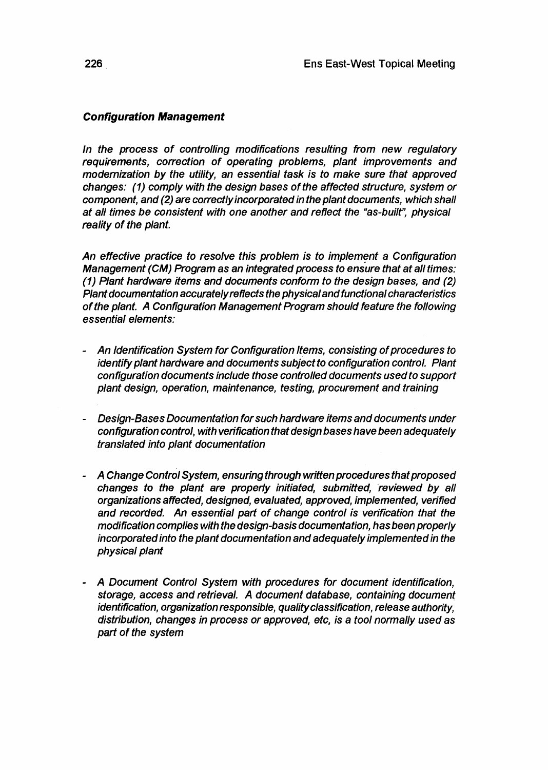# **Configuration Management**

In the process of controlling modifications resulting from new regulatory requirements, correction of operating problems, plant improvements and modernization by the utility, an essential task is to make sure that approved changes: (1) comply with the design bases of the affected structure, system or component, and (2) are correctly incorporated in the plant documents, which shall at all times be consistent with one another and reflect the "as-built", physical reality of the plant.

An effective practice to resolve this problem is to implement a Configuration Management (CM) Program as an integrated process to ensure that at all times: (1) Plant hardware items and documents conform to the design bases, and (2) Plant documentation accurately reflects the physical and functional characteristics of the plant. A Configuration Management Program should feature the following essential elements:

- An Identification System for Configuration Items, consisting of procedures to identify plant hardware and documents subject to configuration control. Plant confíguration documents include those controlled documents used to support plant design, operation, maintenance, testing, procurement and training
- Design-Bases Documentation for such hardware items and documents under configuration control, with verification that design bases have been adequately translated into plant documentation
- A Change Control System, ensuring through written procedures that proposed changes to the plant are properly initiated, submitted, reviewed by all organizations affected, designed, evaluated, approved, implemented, verified and recorded. An essential part of change control is verification that the modification complies with the design-basis documentation, has been properly incorporated into the plant documentation and adequately implemented in the physical plant
- A Document Control System with procedures for document identification, storage, access and retrieval. A document database, containing document identification, organization responsible, quality classification, release authority, distribution, changes in process or approved, etc, is a tool normally used as part of the system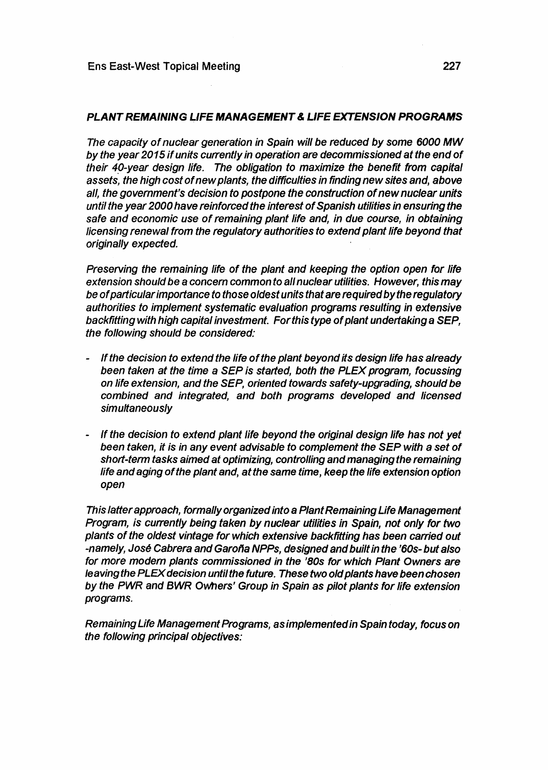### **PLANT REMAINING LIFE MANAGEMENT & LIFE EXTENSION PROGRAMS**

The capacity of nuclear generation in Spain will be reduced by some 6000 MW by the year 2015 if units currently in operation are decommissioned at the end of their 40-year design life. The obligation to maximize the benefit from capital assets, the high cost of new plants, the difficulties in finding new sites and, above all, the government's decision to postpone the construction of new nuclear units until the year 2000 have reinforced the interest of Spanish utilities in ensuring the safe and economic use of remaining plant life and, in due course, in obtaining licensing renewal from the regulatory authorities to extend plant life beyond that originally expected.

Preserving the remaining life of the plant and keeping the option open for life extension should be a concern common to all nuclear utilities. However, this may be of particular importance to those oldest units that are required by the regulatory authorities to implement systematic evaluation programs resulting in extensive backfítting with high capital investment. For this type of plant undertaking a SEP, the following should be considered:

- If the decision to extend the life of the plant beyond its design life has already been taken at the time a SEP is started, both the PLEX program, focussing on life extension, and the SEP, oriented towards safety-upgrading, should be combined and integrated, and both programs developed and licensed simultaneously
- If the decision to extend plant life beyond the original design life has not yet been taken, it is in any event advisable to complement the SEP with a set of short-term tasks aimed at optimizing, controlling and managing the remaining life and aging of the plant and, at the same time, keep the life extension option open

This latter approach, formally organized into a Plant Remaining Life Management Program, is currently being taken by nuclear utilities in Spain, not only for two plants of the oldest vintage for which extensive backfítting has been carried out -namely, José Cabrera and Garoña NPPs, designed and built in the '60s- but also for more modern plants commissioned in the '80s for which Plant Owners are leaving the PLEX decision until the future. These two old plants have been chosen by the PWR and BWR Owners' Group in Spain as pilot plants for life extension programs.

Remaining Life Management Programs, as implemented in Spain today, focus on the following principal objectives: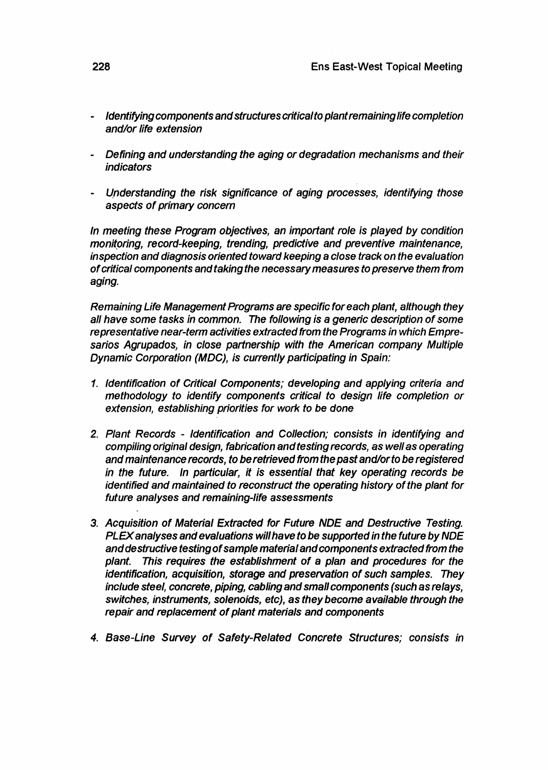- **- Identifying components and structures critical to plant remaining life completion and/or life extension**
- **- Defining and understanding the aging or degradation mechanisms and their indicators**
- **Understanding the risk significance of aging processes, identifying those aspects of primary concern**

**In meeting these Program objectives, an important role is played by condition monitoring, record-keeping, trending, predictive and preventive maintenance, inspection and diagnosis oriented toward keeping a close track on the evaluation of critical components andtakingthe necessary measures to preserve them from aging.**

**Remaining Life Management Programs are specific for each plant, although they all have some tasks in common. The following is a generic description of some representative near-term activities extracted from the Programs in which Empresarios Agrupados, in close partnership with the American company Multiple Dynamic Corporation (MDC), is currently participating in Spain:**

- **1. Identification of Critical Components; developing and applying criteria and methodology to identify components critical to design life completion or extension, establishing priorities for work to be done**
- **2. Plant Records Identification and Collection; consists in identifying and compiling original design, fabrication and testing records, as well as operating and maintenance records, to be retrieved from the past and/or to be registered in the future. In particular, it is essential that key operating records be identified and maintained to reconstruct the operating history of the plant for future analyses and remaining-life assessments**
- **3. Acquisition of Material Extracted for Future NDE and Destructive Testing. PLEX analyses and evaluations will have to be supported in the future by NDE and destructive testing of sample material and components extracted from the plant. This requires the establishment of a plan and procedures for the identification, acquisition, storage and preservation of such samples. They include steel, concrete, piping, cabling and small components (such as relays, switches, instruments, solenoids, etc), as they become available through the repair and replacement of plant materials and components**
- **4. Base-Line Survey of Safety-Related Concrete Structures; consists in**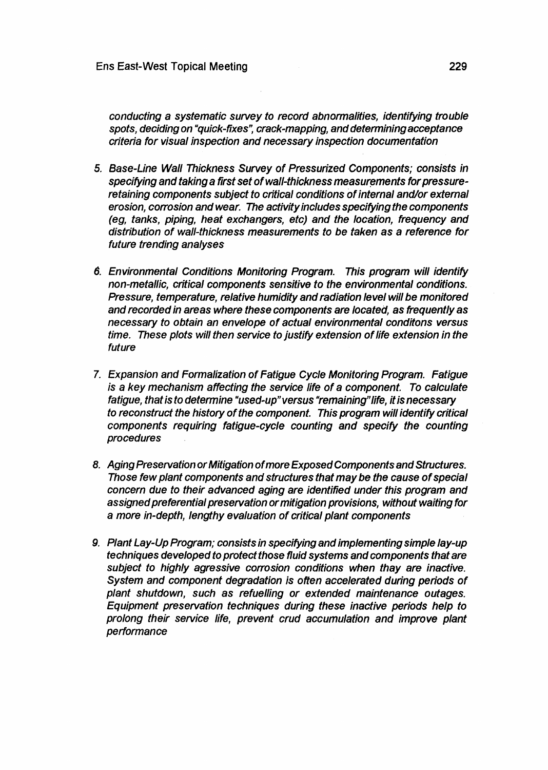**conducting a systematic survey to record abnormalities, identifying trouble spots, deciding on "quick-fixes", crack-mapping, and determining acceptance criteria for visual inspection and necessary inspection documentation**

- **5. Base-Line Wall Thickness Survey of Pressurized Components; consists in specifying and taking a first set of wall-thickness measurements for pressureretaining components subject to critical conditions of internal and/or external erosion, corrosion and wear. The activity includes specifying the components (eg, tanks, piping, heat exchangers, etc) and the location, frequency and distribution of wall-thickness measurements to be taken as a reference for future trending analyses**
- **6. Environmental Conditions Monitoring Program. This program will identify non-metallic, critical components sensitive to the environmental conditions. Pressure, temperature, relative humidity and radiation level will be monitored and recorded in areas where these components are located, as frequently as necessary to obtain an envelope of actual environmental conditons versus time. These plots will then service to justify extension of life extension in the future**
- **7. Expansion and Formalization of Fatigue Cycle Monitoring Program. Fatigue is a key mechanism affecting the service life of a component. To calculate fatigue, that is to determine "used-up" versus "remaining"life, it is necessary to reconstruct the history of the component. This program will identify critical components requiring fatigue-cycle counting and specify the counting procedures**
- **8. Aging Preservation or Mitigation of more Exposed Components and Structures. Those few plant components and structures that may be the cause of special concern due to their advanced aging are identified under this program and assigned preferential preservation or mitigation provisions, without waiting for a more in-depth, lengthy evaluation of critical plant components**
- **9. Plant Lay-Up Program; consists in specifying and implementing simple lay-up techniques developed to protect those fluid systems and components that are subject to highly agressive corrosion conditions when thay are inactive. System and component degradation is often accelerated during periods of plant shutdown, such as refuelling or extended maintenance outages. Equipment preservation techniques during these inactive periods help to prolong their service life, prevent crud accumulation and improve plant performance**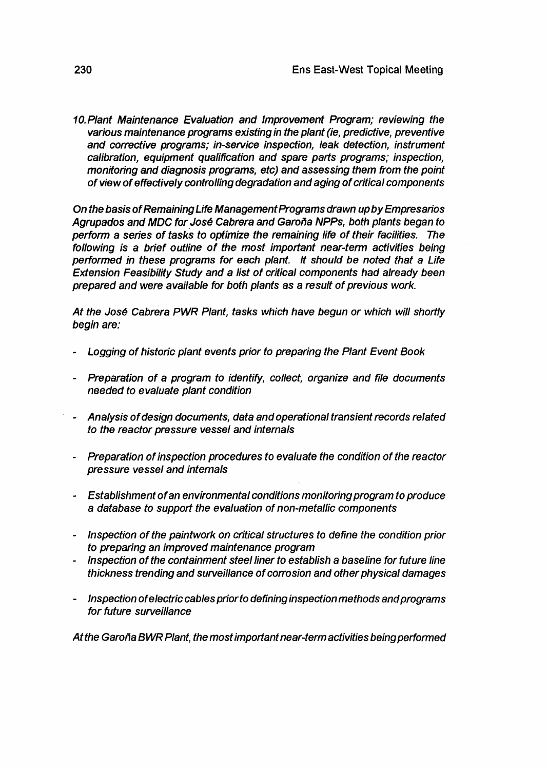10. Plant Maintenance Evaluation and Improvement Program; reviewing the various maintenance programs existing in the plant (ie, predictive, preventive and corrective programs; in-service inspection, leak detection, instrument calibration, equipment qualification and spare parts programs; inspection, monitoring and diagnosis programs, etc) and assessing them from the point of view of effectively controlling degradation and aging of critical components

On the basis of Remaining Life Management Programs drawn up by Empresarios Agrupados and MDC for José Cabrera and Garoña NPPs, both plants began to perform a series of tasks to optimize the remaining life of their facilities. The following is a brief outline of the most important near-term activities being performed in these programs for each plant. It should be noted that a Life Extension Feasibility Study and a list of critical components had already been prepared and were available for both plants as a result of previous work.

At the José Cabrera PWR Plant, tasks which have begun or which will shortly begin are:

- Logging of historic plant events prior to preparing the Plant Event Book
- Preparation of a program to identify, collect, organize and file documents needed to evaluate plant condition
- Analysis of design documents, data and operational transient records related to the reactor pressure vessel and internals
- Preparation of inspection procedures to evaluate the condition of the reactor pressure vessel and internals
- Establishment of an environmental conditions monitoring program to produce a database to support the evaluation of non-metallic components
- Inspection of the paintwork on critical structures to define the condition prior to preparing an improved maintenance program
- Inspection of the containment steel liner to establish a baseline for future line thickness trending and surveillance of corrosion and other physical damages
- Inspection of electric cables prior to defining inspection methods and programs for future surveillance

Atthe Garoña BWR Plant, the most important near-term activities being performed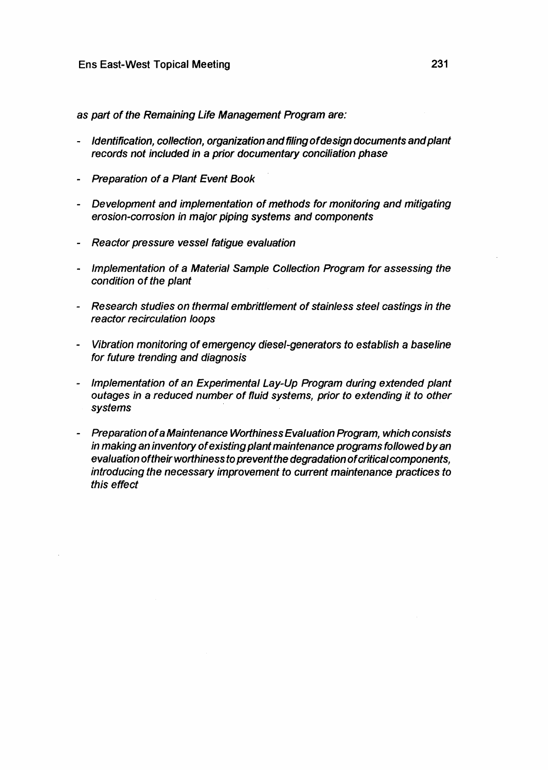as part of the Remaining Life Management Program are:

- identification, collection, organization and filing of design documents and plant records not included in a prior documentary conciliation phase
- Preparation of a Plant Event Book
- Development and implementation of methods for monitoring and mitigating erosion-corrosion in major piping systems and components
- Reactor pressure vessel fatigue evaluation
- Implementation of a Material Sample Collection Program for assessing the condition of the plant
- Research studies on thermal embrittlement of stainless steel castings in the reactor recirculation loops
- Vibration monitoring of emergency diesel-generators to establish a baseline for future trending and diagnosis
- Implementation of an Experimental Lay-Up Program during extended plant outages in a reduced number of fluid systems, prior to extending it to other systems
- Preparation of a Maintenance Worthiness Evaluation Program, which consists in making an inventory of existing plant maintenance programs followed by an evaluation of their worthiness to prevent the degradation of critical components, introducing the necessary improvement to current maintenance practices to this effect